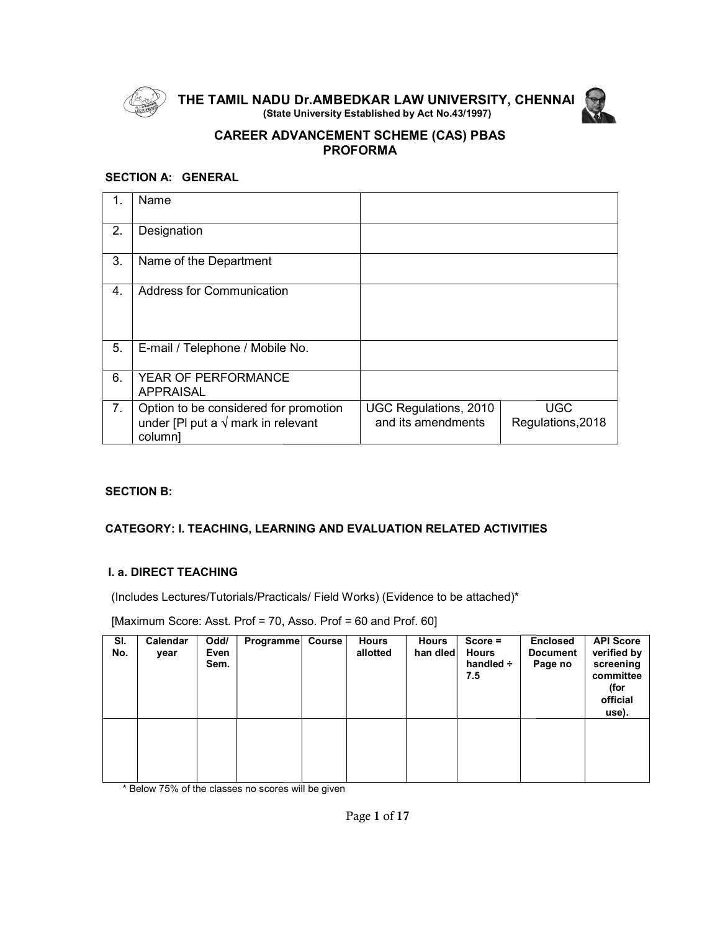

THE TAMIL NADU Dr.AMB (State University Established by Act No.43/1997) TAMIL NADU Dr.AMBEDKAR LAW UNIVERSITY, CHENNAI



# CAREER ADVANCEMENT SCHEME (CAS) (CAS) PBAS PROFORMA

# SECTION A: GENERAL

|    | Name                                                                                           |                                             |                                 |  |
|----|------------------------------------------------------------------------------------------------|---------------------------------------------|---------------------------------|--|
| 2. | Designation                                                                                    |                                             |                                 |  |
| 3. | Name of the Department                                                                         |                                             |                                 |  |
| 4. | <b>Address for Communication</b>                                                               |                                             |                                 |  |
| 5. | E-mail / Telephone / Mobile No.                                                                |                                             |                                 |  |
| 6. | YEAR OF PERFORMANCE<br><b>APPRAISAL</b>                                                        |                                             |                                 |  |
| 7. | Option to be considered for promotion<br>under [PI put a $\sqrt{}$ mark in relevant<br>column] | UGC Regulations, 2010<br>and its amendments | <b>UGC</b><br>Regulations, 2018 |  |

# SECTION B:

# CATEGORY: I. TEACHING, LEARNING AND EVALUATION RELATED ACTIVITIES

# I. a. DIRECT TEACHING

| 7.         | column]                      |                      | Option to be considered for promotion<br>under [PI put a $\sqrt{}$ mark in relevant |                          | UGC Regulations, 2010<br>and its amendments |                                                    | <b>UGC</b><br>Regulations, 2018               |                                                                                        |
|------------|------------------------------|----------------------|-------------------------------------------------------------------------------------|--------------------------|---------------------------------------------|----------------------------------------------------|-----------------------------------------------|----------------------------------------------------------------------------------------|
|            |                              |                      |                                                                                     |                          |                                             |                                                    |                                               |                                                                                        |
|            | <b>SECTION B:</b>            |                      |                                                                                     |                          |                                             |                                                    |                                               |                                                                                        |
|            |                              |                      | <b>CATEGORY: I. TEACHING, LEARNING AND EVALUATION RELATED ACTIVITIES</b>            |                          |                                             |                                                    |                                               |                                                                                        |
|            |                              |                      |                                                                                     |                          |                                             |                                                    |                                               |                                                                                        |
|            | <b>I. a. DIRECT TEACHING</b> |                      |                                                                                     |                          |                                             |                                                    |                                               |                                                                                        |
|            |                              |                      | (Includes Lectures/Tutorials/Practicals/ Field Works) (Evidence to be attached)*    |                          |                                             |                                                    |                                               |                                                                                        |
|            |                              |                      | [Maximum Score: Asst. Prof = 70, Asso. Prof = 60 and Prof. 60]                      |                          |                                             |                                                    |                                               |                                                                                        |
| SI.<br>No. | Calendar<br>year             | Odd/<br>Even<br>Sem. | Programme Course                                                                    | <b>Hours</b><br>allotted | <b>Hours</b><br>han dled                    | $Score =$<br><b>Hours</b><br>handled $\div$<br>7.5 | <b>Enclosed</b><br><b>Document</b><br>Page no | <b>API Score</b><br>verified by<br>screening<br>committee<br>(for<br>official<br>use). |
|            |                              |                      |                                                                                     |                          |                                             |                                                    |                                               |                                                                                        |
|            |                              |                      |                                                                                     |                          |                                             |                                                    |                                               |                                                                                        |
|            |                              |                      | * Below 75% of the classes no scores will be given                                  |                          |                                             |                                                    |                                               |                                                                                        |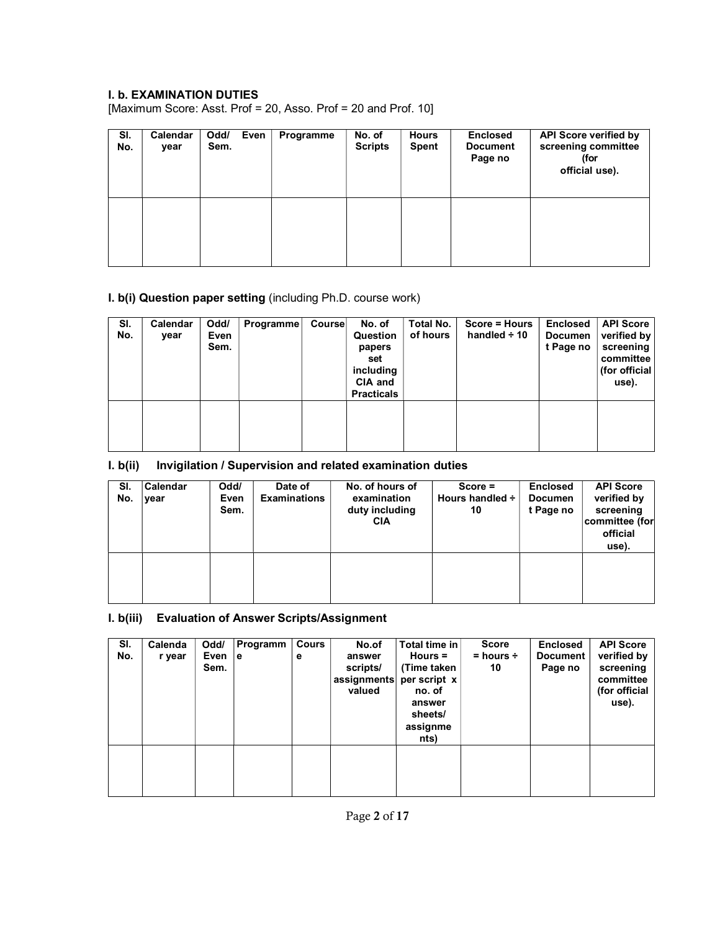# I. b. EXAMINATION DUTIES

[Maximum Score: Asst. Prof = 20, Asso. Prof = 20 and Prof. 10]

| SI.<br>No. | Calendar<br>year | Odd/<br>Sem. | Even | Programme | No. of<br><b>Scripts</b> | <b>Hours</b><br><b>Spent</b> | <b>Enclosed</b><br><b>Document</b><br>Page no | <b>API Score verified by</b><br>screening committee<br>(for<br>official use). |
|------------|------------------|--------------|------|-----------|--------------------------|------------------------------|-----------------------------------------------|-------------------------------------------------------------------------------|
|            |                  |              |      |           |                          |                              |                                               |                                                                               |

# I. b(i) Question paper setting (including Ph.D. course work)

| SI.<br>No. | Calendar<br>year | Odd/<br>Even<br>Sem. | Programme | Course | No. of<br>Question<br>papers<br>set<br>including<br>CIA and<br><b>Practicals</b> | Total No.<br>of hours | Score = Hours<br>handled $\div$ 10 | <b>Enclosed</b><br><b>Documen</b><br>t Page no | <b>API Score</b><br>verified by<br>screening<br>committee<br>(for official<br>use). |
|------------|------------------|----------------------|-----------|--------|----------------------------------------------------------------------------------|-----------------------|------------------------------------|------------------------------------------------|-------------------------------------------------------------------------------------|
|            |                  |                      |           |        |                                                                                  |                       |                                    |                                                |                                                                                     |

# I. b(ii) Invigilation / Supervision and related examination duties

| SI.<br>No. | Calendar<br>year | Odd/<br>Even<br>Sem. | Date of<br><b>Examinations</b> | No. of hours of<br>examination<br>duty including<br><b>CIA</b> | $Score =$<br>Hours handled ÷<br>10 | <b>Enclosed</b><br><b>Documen</b><br>t Page no | <b>API Score</b><br>verified by<br>screening<br>committee (for<br>official<br>use). |
|------------|------------------|----------------------|--------------------------------|----------------------------------------------------------------|------------------------------------|------------------------------------------------|-------------------------------------------------------------------------------------|
|            |                  |                      |                                |                                                                |                                    |                                                |                                                                                     |

# I. b(iii) Evaluation of Answer Scripts/Assignment

| SI.<br>No. | Calenda<br>r year | Odd/<br>Even<br>Sem. | Programm<br>۱e | Cours<br>е | No.of<br>answer<br>scripts/<br>assignments<br>valued | Total time in<br>Hours $=$<br>(Time taken<br>per script x<br>no. of<br>answer<br>sheets/<br>assignme<br>nts) | <b>Score</b><br>$=$ hours $\div$<br>10 | <b>Enclosed</b><br><b>Document</b><br>Page no | <b>API Score</b><br>verified by<br>screening<br>committee<br>(for official<br>use). |
|------------|-------------------|----------------------|----------------|------------|------------------------------------------------------|--------------------------------------------------------------------------------------------------------------|----------------------------------------|-----------------------------------------------|-------------------------------------------------------------------------------------|
|            |                   |                      |                |            |                                                      |                                                                                                              |                                        |                                               |                                                                                     |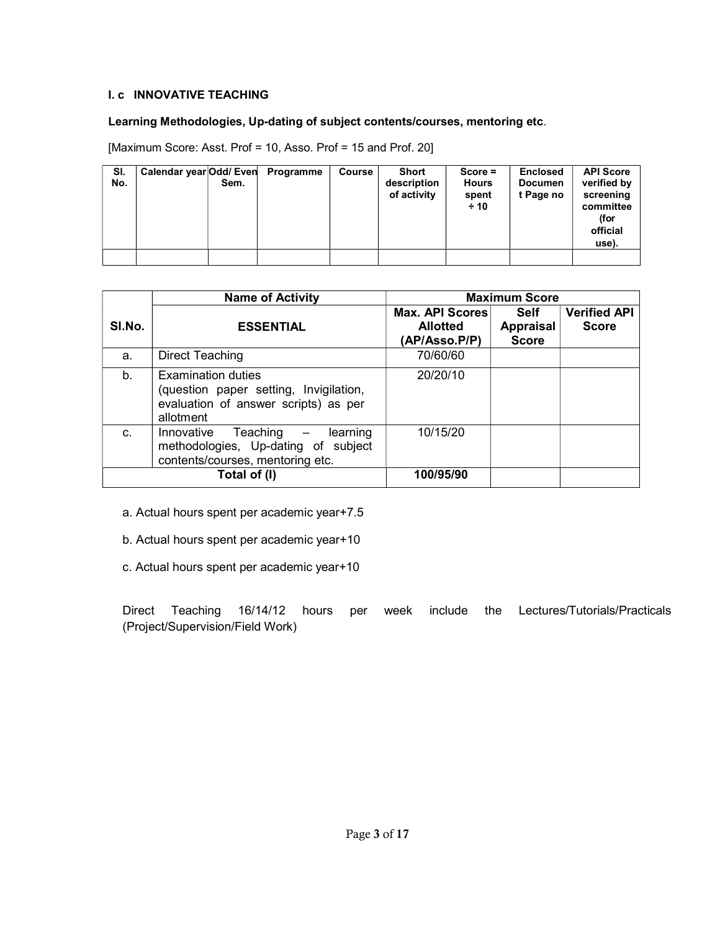# I. c INNOVATIVE TEACHING

# Learning Methodologies, Up-dating of subject contents/courses, mentoring etc.

[Maximum Score: Asst. Prof = 10, Asso. Prof = 15 and Prof. 20]

| SI.<br>No. | Calendar year Odd/ Even | Sem. | Programme | Course | Short<br>description<br>of activity | $Score =$<br><b>Hours</b><br>spent<br>± 10 | <b>Enclosed</b><br><b>Documen</b><br>t Page no | <b>API Score</b><br>verified by<br>screening<br>committee<br>(for<br>official<br>use). |
|------------|-------------------------|------|-----------|--------|-------------------------------------|--------------------------------------------|------------------------------------------------|----------------------------------------------------------------------------------------|
|            |                         |      |           |        |                                     |                                            |                                                |                                                                                        |

|        | <b>Name of Activity</b>                                                                                           |                                                            | <b>Maximum Score</b>                     |                                     |
|--------|-------------------------------------------------------------------------------------------------------------------|------------------------------------------------------------|------------------------------------------|-------------------------------------|
| SI.No. | <b>ESSENTIAL</b>                                                                                                  | <b>Max. API Scores</b><br><b>Allotted</b><br>(AP/Asso.P/P) | <b>Self</b><br>Appraisal<br><b>Score</b> | <b>Verified API</b><br><b>Score</b> |
| a.     | Direct Teaching                                                                                                   | 70/60/60                                                   |                                          |                                     |
| b.     | Examination duties<br>(question paper setting, Invigilation,<br>evaluation of answer scripts) as per<br>allotment | 20/20/10                                                   |                                          |                                     |
| C.     | Teaching –<br>Innovative<br>learning<br>methodologies, Up-dating of subject<br>contents/courses, mentoring etc.   | 10/15/20                                                   |                                          |                                     |
|        | Total of (I)                                                                                                      | 100/95/90                                                  |                                          |                                     |

- a. Actual hours spent per academic year+7.5
- b. Actual hours spent per academic year+10
- c. Actual hours spent per academic year+10

Direct Teaching 16/14/12 hours per week include the Lectures/Tutorials/Practicals (Project/Supervision/Field Work)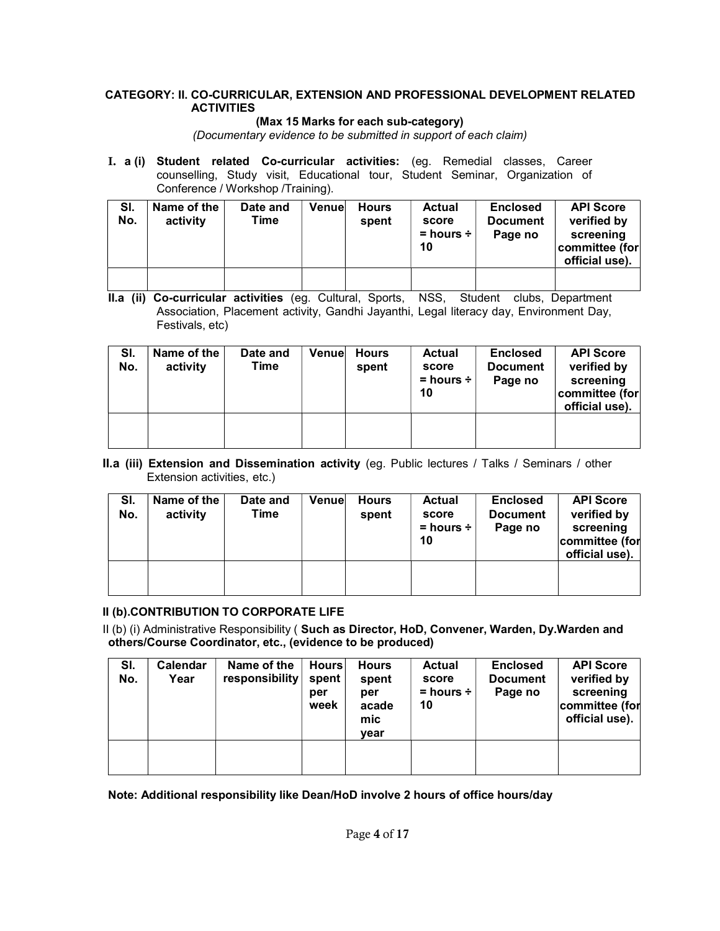# CATEGORY: II. CO-CURRICULAR, EXTENSION AND PROFESSIONAL DEVELOPMENT RELATED **ACTIVITIES**

# (Max 15 Marks for each sub-category)

(Documentary evidence to be submitted in support of each claim)

I. a (i) Student related Co-curricular activities: (eg. Remedial classes, Career counselling, Study visit, Educational tour, Student Seminar, Organization of Conference / Workshop /Training).

| SI.<br>No. | Name of the<br>activity | Date and<br>Time | Venuel | <b>Hours</b><br>spent | <b>Actual</b><br>score<br>$=$ hours $\div$<br>10 | <b>Enclosed</b><br><b>Document</b><br>Page no | <b>API Score</b><br>verified by<br>screening<br>committee (for<br>official use). |
|------------|-------------------------|------------------|--------|-----------------------|--------------------------------------------------|-----------------------------------------------|----------------------------------------------------------------------------------|
|            |                         |                  |        |                       |                                                  |                                               |                                                                                  |

II.a (ii) Co-curricular activities (eg. Cultural, Sports, NSS, Student clubs, Department Association, Placement activity, Gandhi Jayanthi, Legal literacy day, Environment Day, Festivals, etc)

| SI.<br>No. | Name of the<br>activity | Date and<br>Time | Venuel | <b>Hours</b><br>spent | <b>Actual</b><br>score<br>$=$ hours $\div$<br>10 | <b>Enclosed</b><br><b>Document</b><br>Page no | <b>API Score</b><br>verified by<br>screening<br>committee (for<br>official use). |
|------------|-------------------------|------------------|--------|-----------------------|--------------------------------------------------|-----------------------------------------------|----------------------------------------------------------------------------------|
|            |                         |                  |        |                       |                                                  |                                               |                                                                                  |

II.a (iii) Extension and Dissemination activity (eg. Public lectures / Talks / Seminars / other Extension activities, etc.)

| SI.<br>No. | Name of the<br>activity | Date and<br>Time | Venuel | <b>Hours</b><br>spent | <b>Actual</b><br>score<br>$=$ hours $\div$<br>10 | <b>Enclosed</b><br><b>Document</b><br>Page no | <b>API Score</b><br>verified by<br>screening<br>committee (for<br>official use). |
|------------|-------------------------|------------------|--------|-----------------------|--------------------------------------------------|-----------------------------------------------|----------------------------------------------------------------------------------|
|            |                         |                  |        |                       |                                                  |                                               |                                                                                  |

#### II (b).CONTRIBUTION TO CORPORATE LIFE

II (b) (i) Administrative Responsibility ( Such as Director, HoD, Convener, Warden, Dy.Warden and others/Course Coordinator, etc., (evidence to be produced)

| SI.<br>No. | Calendar<br>Year | Name of the<br>responsibility | <b>Hours</b><br>spent<br>per<br>week | <b>Hours</b><br>spent<br>per<br>acade<br>mic<br>vear | <b>Actual</b><br>score<br>$=$ hours $\div$<br>10 | <b>Enclosed</b><br><b>Document</b><br>Page no | <b>API Score</b><br>verified by<br>screening<br>committee (for<br>official use). |
|------------|------------------|-------------------------------|--------------------------------------|------------------------------------------------------|--------------------------------------------------|-----------------------------------------------|----------------------------------------------------------------------------------|
|            |                  |                               |                                      |                                                      |                                                  |                                               |                                                                                  |

Note: Additional responsibility like Dean/HoD involve 2 hours of office hours/day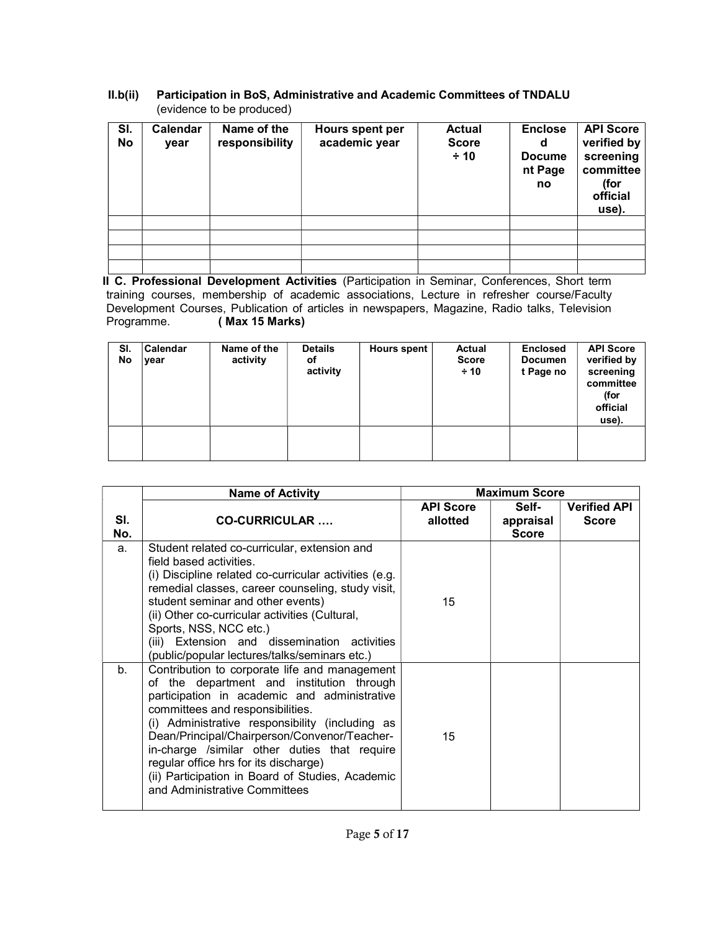# II.b(ii) Participation in BoS, Administrative and Academic Committees of TNDALU (evidence to be produced)

| SI.<br>No | Calendar<br>year | Name of the<br>responsibility | Hours spent per<br>academic year | <b>Actual</b><br><b>Score</b><br>$\div$ 10 | <b>Enclose</b><br>d<br><b>Docume</b><br>nt Page<br>no | <b>API Score</b><br>verified by<br>screening<br>committee<br>(for<br>official<br>use). |
|-----------|------------------|-------------------------------|----------------------------------|--------------------------------------------|-------------------------------------------------------|----------------------------------------------------------------------------------------|
|           |                  |                               |                                  |                                            |                                                       |                                                                                        |
|           |                  |                               |                                  |                                            |                                                       |                                                                                        |
|           |                  |                               |                                  |                                            |                                                       |                                                                                        |
|           |                  |                               |                                  |                                            |                                                       |                                                                                        |

II C. Professional Development Activities (Participation in Seminar, Conferences, Short term training courses, membership of academic associations, Lecture in refresher course/Faculty Development Courses, Publication of articles in newspapers, Magazine, Radio talks, Television<br>Programme. (Max 15 Marks) (Max 15 Marks)

| SI.<br>No | Calendar<br>year | Name of the<br>activity | <b>Details</b><br>оf<br>activity | <b>Hours spent</b> | <b>Actual</b><br><b>Score</b><br>$\div$ 10 | <b>Enclosed</b><br><b>Documen</b><br>t Page no | <b>API Score</b><br>verified by<br>screening<br>committee<br>(for<br>official<br>use). |
|-----------|------------------|-------------------------|----------------------------------|--------------------|--------------------------------------------|------------------------------------------------|----------------------------------------------------------------------------------------|
|           |                  |                         |                                  |                    |                                            |                                                |                                                                                        |

|            | <b>Name of Activity</b>                                                                                                                                                                                                                                                                                                                                                                                                                                         | <b>Maximum Score</b>         |                                    |                                     |
|------------|-----------------------------------------------------------------------------------------------------------------------------------------------------------------------------------------------------------------------------------------------------------------------------------------------------------------------------------------------------------------------------------------------------------------------------------------------------------------|------------------------------|------------------------------------|-------------------------------------|
| SI.<br>No. | <b>CO-CURRICULAR</b>                                                                                                                                                                                                                                                                                                                                                                                                                                            | <b>API Score</b><br>allotted | Self-<br>appraisal<br><b>Score</b> | <b>Verified API</b><br><b>Score</b> |
| a.         | Student related co-curricular, extension and<br>field based activities.<br>(i) Discipline related co-curricular activities (e.g.<br>remedial classes, career counseling, study visit,<br>student seminar and other events)<br>(ii) Other co-curricular activities (Cultural,<br>Sports, NSS, NCC etc.)<br>(iii) Extension and dissemination activities<br>(public/popular lectures/talks/seminars etc.)                                                         | 15                           |                                    |                                     |
| $b_{-}$    | Contribution to corporate life and management<br>of the department and institution through<br>participation in academic and administrative<br>committees and responsibilities.<br>(i) Administrative responsibility (including as<br>Dean/Principal/Chairperson/Convenor/Teacher-<br>in-charge /similar other duties that require<br>regular office hrs for its discharge)<br>(ii) Participation in Board of Studies, Academic<br>and Administrative Committees | 15                           |                                    |                                     |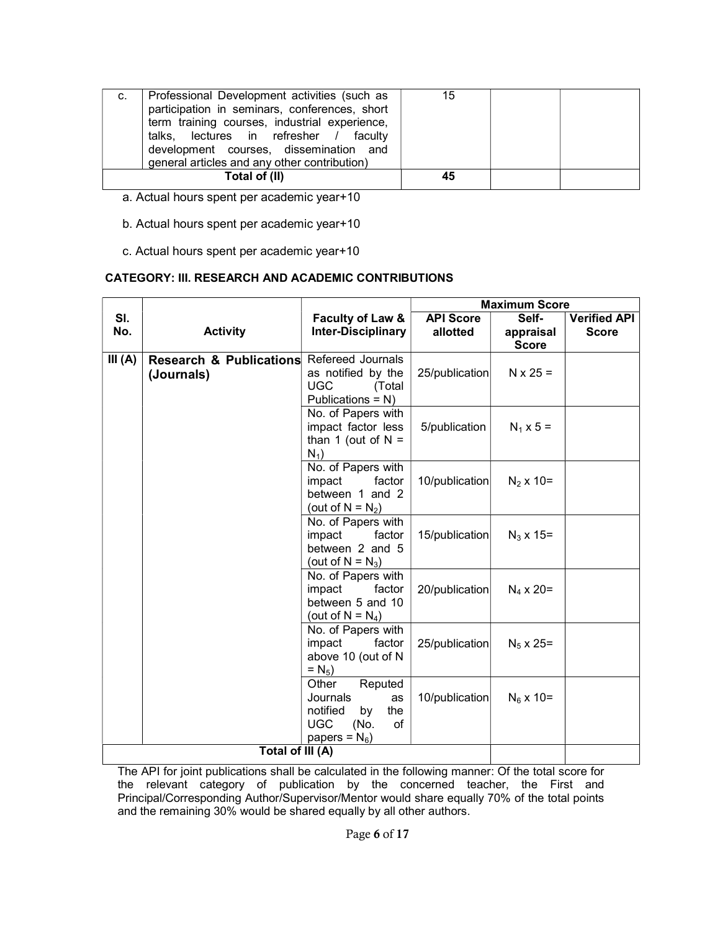| C. | Professional Development activities (such as<br>participation in seminars, conferences, short<br>term training courses, industrial experience,<br>talks, lectures in refresher / faculty<br>development courses, dissemination and | 15 |  |
|----|------------------------------------------------------------------------------------------------------------------------------------------------------------------------------------------------------------------------------------|----|--|
|    | general articles and any other contribution)                                                                                                                                                                                       |    |  |
|    | Total of (II)                                                                                                                                                                                                                      | 45 |  |

- a. Actual hours spent per academic year+10
- b. Actual hours spent per academic year+10
- c. Actual hours spent per academic year+10

#### CATEGORY: III. RESEARCH AND ACADEMIC CONTRIBUTIONS

|           |                                       |                                                                                                             |                  | <b>Maximum Score</b> |                     |
|-----------|---------------------------------------|-------------------------------------------------------------------------------------------------------------|------------------|----------------------|---------------------|
| SI.       |                                       | Faculty of Law &                                                                                            | <b>API Score</b> | Self-                | <b>Verified API</b> |
| No.       | <b>Activity</b>                       | <b>Inter-Disciplinary</b>                                                                                   | allotted         | appraisal            | <b>Score</b>        |
|           |                                       |                                                                                                             |                  | <b>Score</b>         |                     |
| III $(A)$ | Research & Publications<br>(Journals) | Refereed Journals<br>as notified by the<br><b>UGC</b><br>(Total<br>Publications = N)                        | 25/publication   | $N \times 25 =$      |                     |
|           |                                       | No. of Papers with<br>impact factor less<br>than 1 (out of $N =$<br>$N_1$ )                                 | 5/publication    | $N_1 \times 5 =$     |                     |
|           |                                       | No. of Papers with<br>factor<br>impact<br>between 1 and 2<br>(out of $N = N_2$ )                            | 10/publication   | $N_2$ x 10=          |                     |
|           |                                       | No. of Papers with<br>impact<br>factor<br>between 2 and 5<br>(out of $N = N_3$ )                            | 15/publication   | $N_3$ x 15=          |                     |
|           |                                       | No. of Papers with<br>impact<br>factor<br>between 5 and 10<br>(out of $N = N_4$ )                           | 20/publication   | $N_4 \times 20 =$    |                     |
|           |                                       | No. of Papers with<br>impact<br>factor<br>above 10 (out of N<br>$= N_{5}$ )                                 | 25/publication   | $N_5 \times 25=$     |                     |
|           |                                       | Other<br>Reputed<br>Journals<br>as<br>notified<br>the<br>by<br><b>UGC</b><br>(No.<br>of<br>papers = $N_6$ ) | 10/publication   | $N_6$ x 10=          |                     |
|           | Total of III (A)                      |                                                                                                             |                  |                      |                     |

The API for joint publications shall be calculated in the following manner: Of the total score for the relevant category of publication by the concerned teacher, the First and Principal/Corresponding Author/Supervisor/Mentor would share equally 70% of the total points and the remaining 30% would be shared equally by all other authors.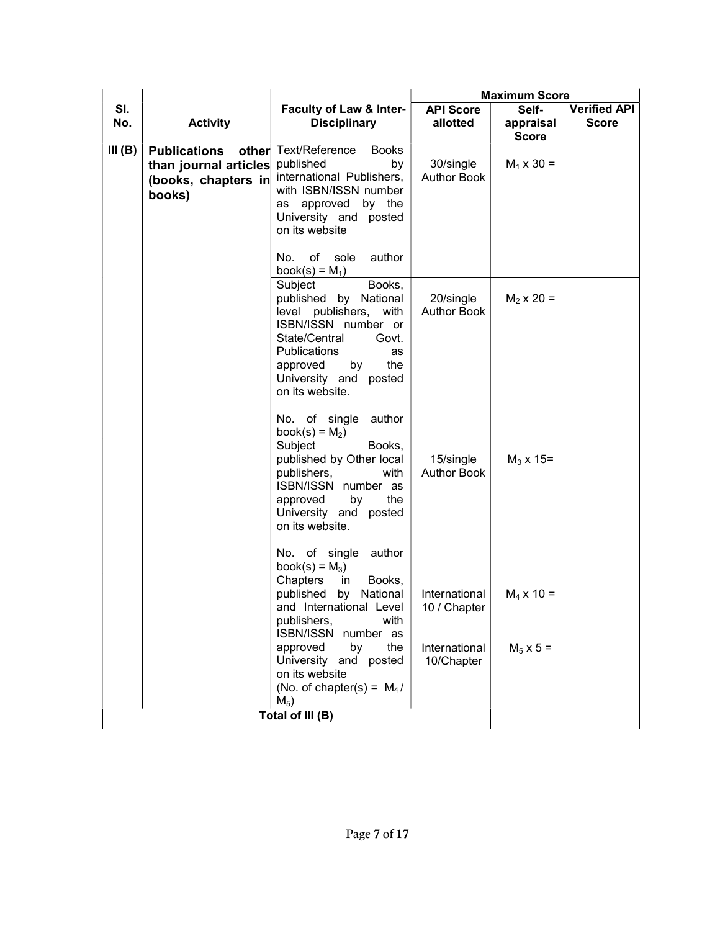| <b>Maximum Score</b>                                                                                   |  |
|--------------------------------------------------------------------------------------------------------|--|
| SI.<br>Self-<br><b>API Score</b><br><b>Verified API</b><br><b>Faculty of Law &amp; Inter-</b>          |  |
| No.<br><b>Disciplinary</b><br><b>Activity</b><br>allotted<br><b>Score</b><br>appraisal                 |  |
| <b>Score</b><br>Text/Reference<br><b>Books</b><br><b>Publications</b>                                  |  |
| III(B)<br>other<br>published<br>30/single<br>by<br>$M_1 \times 30 =$                                   |  |
| than journal articles<br>international Publishers,<br><b>Author Book</b><br>(books, chapters in        |  |
| with ISBN/ISSN number<br>books)                                                                        |  |
| as approved<br>by the                                                                                  |  |
| University and posted                                                                                  |  |
| on its website                                                                                         |  |
| author<br>No.<br>of<br>sole                                                                            |  |
| book(s) = $M_1$ )                                                                                      |  |
| Subject<br>Books,                                                                                      |  |
| published by National<br>20/single<br>$M_2 \times 20 =$                                                |  |
| with<br><b>Author Book</b><br>level publishers,                                                        |  |
| ISBN/ISSN number or                                                                                    |  |
| State/Central<br>Govt.                                                                                 |  |
| <b>Publications</b><br>as<br>the                                                                       |  |
| approved<br>by<br>University and posted                                                                |  |
| on its website.                                                                                        |  |
|                                                                                                        |  |
| No. of single<br>author                                                                                |  |
| book(s) = $M_2$ )                                                                                      |  |
| Subject<br>Books,                                                                                      |  |
| published by Other local<br>15/single<br>$M_3 \times 15=$<br><b>Author Book</b><br>publishers,<br>with |  |
| ISBN/ISSN number as                                                                                    |  |
| approved<br>by<br>the                                                                                  |  |
| University and posted                                                                                  |  |
| on its website.                                                                                        |  |
|                                                                                                        |  |
| No. of single author<br>book(s) = $M_3$ )                                                              |  |
| Chapters<br>Books,<br>in                                                                               |  |
| published by<br>National<br>International<br>$M_4$ x 10 =                                              |  |
| and International Level<br>10 / Chapter                                                                |  |
| publishers,<br>with                                                                                    |  |
| ISBN/ISSN number as                                                                                    |  |
| approved<br>by<br>the<br>International<br>$M_5$ x 5 =<br>University and posted                         |  |
| 10/Chapter<br>on its website                                                                           |  |
| (No. of chapter(s) = $M_4/$                                                                            |  |
| $M_5$ )                                                                                                |  |
| Total of III (B)                                                                                       |  |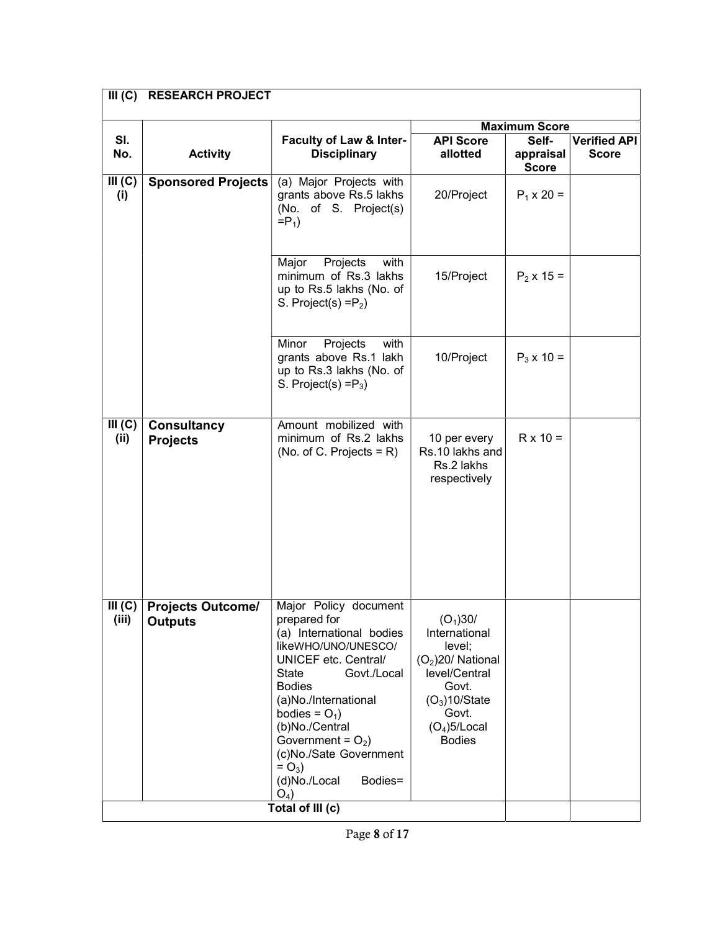| Faculty of Law & Inter-<br><b>Disciplinary</b>                                                                                                                                                                                                                                                                                    | <b>API Score</b><br>allotted                                                                                                                                    | Self-<br>appraisal<br><b>Score</b> | <b>Verified API</b><br><b>Score</b> |
|-----------------------------------------------------------------------------------------------------------------------------------------------------------------------------------------------------------------------------------------------------------------------------------------------------------------------------------|-----------------------------------------------------------------------------------------------------------------------------------------------------------------|------------------------------------|-------------------------------------|
| (a) Major Projects with<br>grants above Rs.5 lakhs<br>(No. of S. Project(s)<br>$=$ P <sub>1</sub> )                                                                                                                                                                                                                               | 20/Project                                                                                                                                                      | $P_1 \times 20 =$                  |                                     |
| Major<br>Projects<br>with<br>minimum of Rs.3 lakhs<br>up to Rs.5 lakhs (No. of<br>S. Project(s) = $P_2$ )                                                                                                                                                                                                                         | 15/Project                                                                                                                                                      | $P_2$ x 15 =                       |                                     |
| Minor<br>Projects<br>with<br>grants above Rs.1 lakh<br>up to Rs.3 lakhs (No. of<br>S. Project(s) $=$ P <sub>3</sub> )                                                                                                                                                                                                             | 10/Project                                                                                                                                                      | $P_3 \times 10 =$                  |                                     |
| Amount mobilized with<br>minimum of Rs.2 lakhs<br>(No. of C. Projects = $R$ )                                                                                                                                                                                                                                                     | 10 per every<br>Rs.10 lakhs and<br>Rs.2 lakhs<br>respectively                                                                                                   | $R \times 10 =$                    |                                     |
| Major Policy document<br>prepared for<br>(a) International bodies<br>likeWHO/UNO/UNESCO/<br>UNICEF etc. Central/<br><b>State</b><br>Govt./Local<br><b>Bodies</b><br>(a)No./International<br>bodies = $O_1$ )<br>(b)No./Central<br>Government = $O_2$ )<br>(c)No./Sate Government<br>$= O_3$ )<br>(d)No./Local<br>Bodies=<br>$O_4$ | (O <sub>1</sub> )30/<br>International<br>level;<br>$(O2)20$ / National<br>level/Central<br>Govt.<br>$(O3)$ 10/State<br>Govt.<br>$(O4)$ 5/Local<br><b>Bodies</b> |                                    |                                     |
| <b>RESEARCH PROJECT</b><br><b>Activity</b><br><b>Sponsored Projects</b><br><b>Consultancy</b><br><b>Projects Outcome/</b>                                                                                                                                                                                                         | Total of III (c)                                                                                                                                                |                                    | <b>Maximum Score</b>                |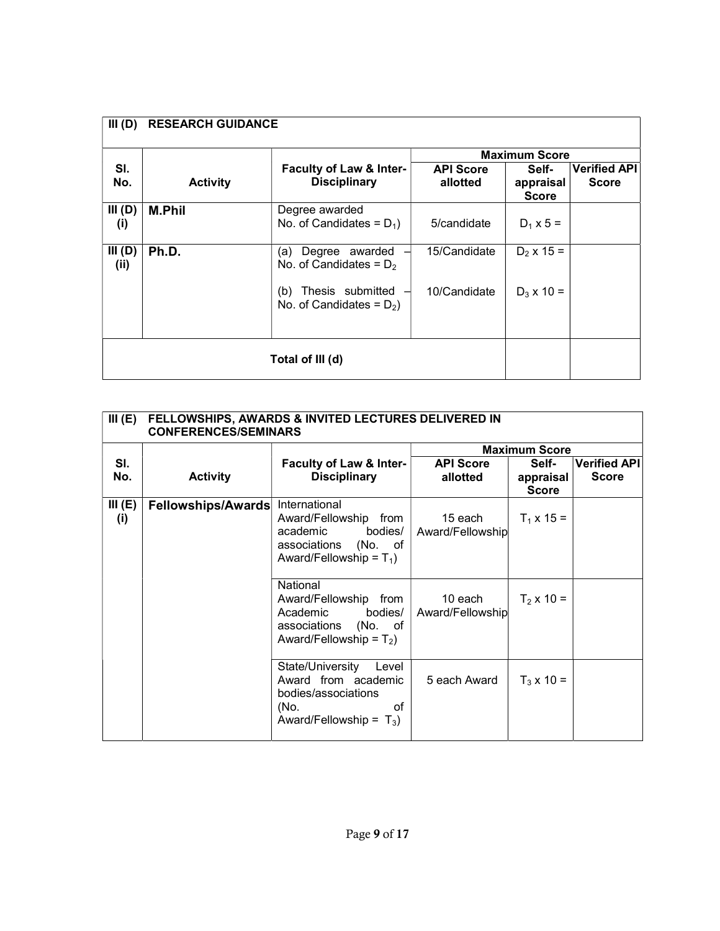| III(D)         | <b>RESEARCH GUIDANCE</b> |                                                        |                              |                                    |                                     |
|----------------|--------------------------|--------------------------------------------------------|------------------------------|------------------------------------|-------------------------------------|
|                |                          |                                                        |                              | <b>Maximum Score</b>               |                                     |
| SI.<br>No.     | <b>Activity</b>          | Faculty of Law & Inter-<br><b>Disciplinary</b>         | <b>API Score</b><br>allotted | Self-<br>appraisal<br><b>Score</b> | <b>Verified API</b><br><b>Score</b> |
| III(D)<br>(i)  | <b>M.Phil</b>            | Degree awarded<br>No. of Candidates = $D_1$ )          | 5/candidate                  | $D_1 \times 5 =$                   |                                     |
| III(D)<br>(ii) | Ph.D.                    | Degree awarded<br>(a)<br>No. of Candidates = $D_2$     | 15/Candidate                 | $D_2$ x 15 =                       |                                     |
|                |                          | Thesis submitted<br>(b)<br>No. of Candidates = $D_2$ ) | 10/Candidate                 | $D_3$ x 10 =                       |                                     |
|                | Total of III (d)         |                                                        |                              |                                    |                                     |

| III(E)        | FELLOWSHIPS, AWARDS & INVITED LECTURES DELIVERED IN<br><b>CONFERENCES/SEMINARS</b> |                                                                                                                     |                              |                                    |                                     |
|---------------|------------------------------------------------------------------------------------|---------------------------------------------------------------------------------------------------------------------|------------------------------|------------------------------------|-------------------------------------|
|               |                                                                                    |                                                                                                                     |                              | <b>Maximum Score</b>               |                                     |
| SI.<br>No.    | <b>Activity</b>                                                                    | Faculty of Law & Inter-<br><b>Disciplinary</b>                                                                      | <b>API Score</b><br>allotted | Self-<br>appraisal<br><b>Score</b> | <b>Verified API</b><br><b>Score</b> |
| III(E)<br>(i) | Fellowships/Awards                                                                 | International<br>Award/Fellowship from<br>academic bodies/<br>associations (No. of<br>Award/Fellowship = $T_1$ )    | 15 each<br>Award/Fellowship  | $T_1 \times 15 =$                  |                                     |
|               |                                                                                    | National<br>Award/Fellowship from<br>Academic bodies/<br>associations (No. of<br>Award/Fellowship = $T_2$ )         | 10 each<br>Award/Fellowship  | $T_2$ x 10 =                       |                                     |
|               |                                                                                    | State/University<br>Level<br>Award from academic<br>bodies/associations<br>(No.<br>οf<br>Award/Fellowship = $T_3$ ) | 5 each Award                 | $T_3$ x 10 =                       |                                     |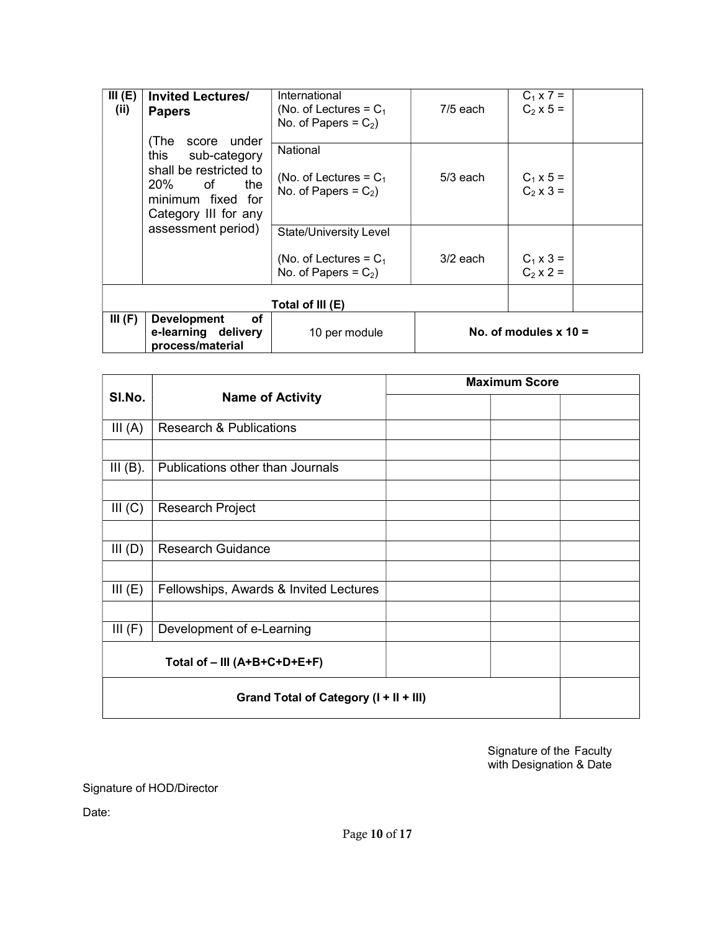| III(E)<br>(i) | <b>Invited Lectures/</b><br><b>Papers</b><br>(The<br>score under                                             | International<br>(No. of Lectures = $C_1$<br>No. of Papers = $C_2$ )          | $7/5$ each | $C_1 \times 7 =$<br>$C_2$ x 5 = |
|---------------|--------------------------------------------------------------------------------------------------------------|-------------------------------------------------------------------------------|------------|---------------------------------|
|               | this<br>sub-category<br>shall be restricted to<br>20% of<br>the<br>minimum fixed for<br>Category III for any | National<br>(No. of Lectures = $C_1$<br>No. of Papers = $C_2$ )               | $5/3$ each | $C_1 \times 5 =$<br>$C_2$ x 3 = |
|               | assessment period)                                                                                           | State/University Level<br>(No. of Lectures = $C_1$<br>No. of Papers = $C_2$ ) | $3/2$ each | $C_1 \times 3 =$<br>$C_2$ x 2 = |
|               |                                                                                                              | Total of III (E)                                                              |            |                                 |
| III(F)        | οf<br><b>Development</b><br>e-learning delivery<br>process/material                                          | 10 per module                                                                 |            | No. of modules $x = 10$         |

|                                        |                                        | <b>Maximum Score</b> |  |
|----------------------------------------|----------------------------------------|----------------------|--|
| SI.No.                                 | <b>Name of Activity</b>                |                      |  |
| III(A)                                 | <b>Research &amp; Publications</b>     |                      |  |
|                                        |                                        |                      |  |
| III(B).                                | Publications other than Journals       |                      |  |
|                                        |                                        |                      |  |
| III (C)                                | <b>Research Project</b>                |                      |  |
|                                        |                                        |                      |  |
| III(D)                                 | <b>Research Guidance</b>               |                      |  |
|                                        |                                        |                      |  |
| III(E)                                 | Fellowships, Awards & Invited Lectures |                      |  |
|                                        |                                        |                      |  |
| III(F)                                 | Development of e-Learning              |                      |  |
|                                        | Total of - III (A+B+C+D+E+F)           |                      |  |
| Grand Total of Category (I + II + III) |                                        |                      |  |

Signature of the Faculty with Designation & Date

Signature of HOD/Director

Date: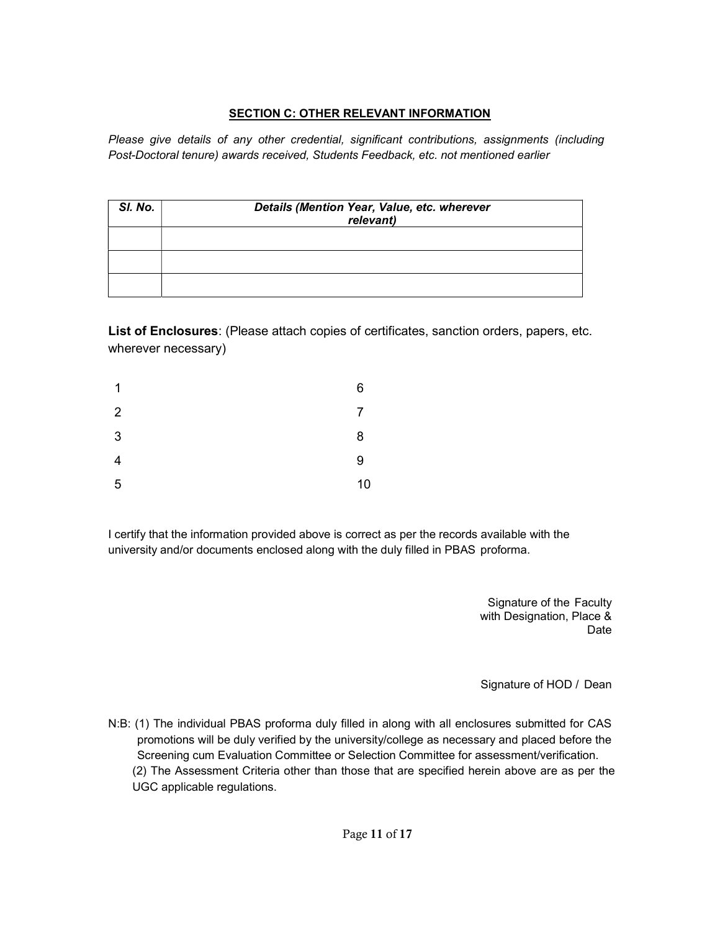# SECTION C: OTHER RELEVANT INFORMATION

Please give details of any other credential, significant contributions, assignments (including Post-Doctoral tenure) awards received, Students Feedback, etc. not mentioned earlier

| SI. No. | Details (Mention Year, Value, etc. wherever<br>relevant) |
|---------|----------------------------------------------------------|
|         |                                                          |
|         |                                                          |
|         |                                                          |

List of Enclosures: (Please attach copies of certificates, sanction orders, papers, etc. wherever necessary)

| $\mathbf{1}$   | 6              |
|----------------|----------------|
| $\overline{2}$ | $\overline{7}$ |
| $\mathbf{3}$   | 8              |
| $\overline{4}$ | 9              |
| $\sqrt{5}$     | 10             |

I certify that the information provided above is correct as per the records available with the university and/or documents enclosed along with the duly filled in PBAS proforma.

> Signature of the Faculty with Designation, Place & Date

> Signature of HOD / Dean

N:B: (1) The individual PBAS proforma duly filled in along with all enclosures submitted for CAS promotions will be duly verified by the university/college as necessary and placed before the Screening cum Evaluation Committee or Selection Committee for assessment/verification. (2) The Assessment Criteria other than those that are specified herein above are as per the UGC applicable regulations.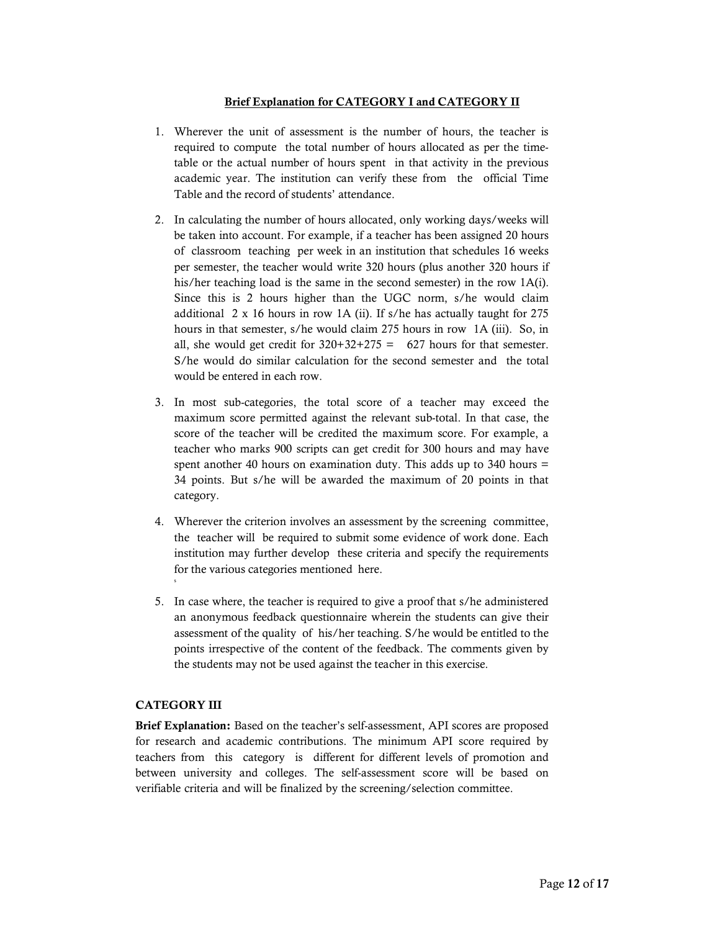#### Brief Explanation for CATEGORY I and CATEGORY II

- 1. Wherever the unit of assessment is the number of hours, the teacher is required to compute the total number of hours allocated as per the timetable or the actual number of hours spent in that activity in the previous academic year. The institution can verify these from the official Time Table and the record of students' attendance.
- 2. In calculating the number of hours allocated, only working days/weeks will be taken into account. For example, if a teacher has been assigned 20 hours of classroom teaching per week in an institution that schedules 16 weeks per semester, the teacher would write 320 hours (plus another 320 hours if his/her teaching load is the same in the second semester) in the row 1A(i). Since this is 2 hours higher than the UGC norm, s/he would claim additional 2 x 16 hours in row 1A (ii). If s/he has actually taught for 275 hours in that semester, s/he would claim 275 hours in row 1A (iii). So, in all, she would get credit for  $320+32+275 = 627$  hours for that semester. S/he would do similar calculation for the second semester and the total would be entered in each row.
- 3. In most sub-categories, the total score of a teacher may exceed the maximum score permitted against the relevant sub-total. In that case, the score of the teacher will be credited the maximum score. For example, a teacher who marks 900 scripts can get credit for 300 hours and may have spent another 40 hours on examination duty. This adds up to 340 hours = 34 points. But s/he will be awarded the maximum of 20 points in that category.
- 4. Wherever the criterion involves an assessment by the screening committee, the teacher will be required to submit some evidence of work done. Each institution may further develop these criteria and specify the requirements for the various categories mentioned here.
- 5. In case where, the teacher is required to give a proof that s/he administered an anonymous feedback questionnaire wherein the students can give their assessment of the quality of his/her teaching. S/he would be entitled to the points irrespective of the content of the feedback. The comments given by the students may not be used against the teacher in this exercise.

#### CATEGORY III

s and the state of the state of the state of the state of the state of the state of the state of the state of the state of the state of the state of the state of the state of the state of the state of the state of the stat

Brief Explanation: Based on the teacher's self-assessment, API scores are proposed for research and academic contributions. The minimum API score required by teachers from this category is different for different levels of promotion and between university and colleges. The self-assessment score will be based on verifiable criteria and will be finalized by the screening/selection committee.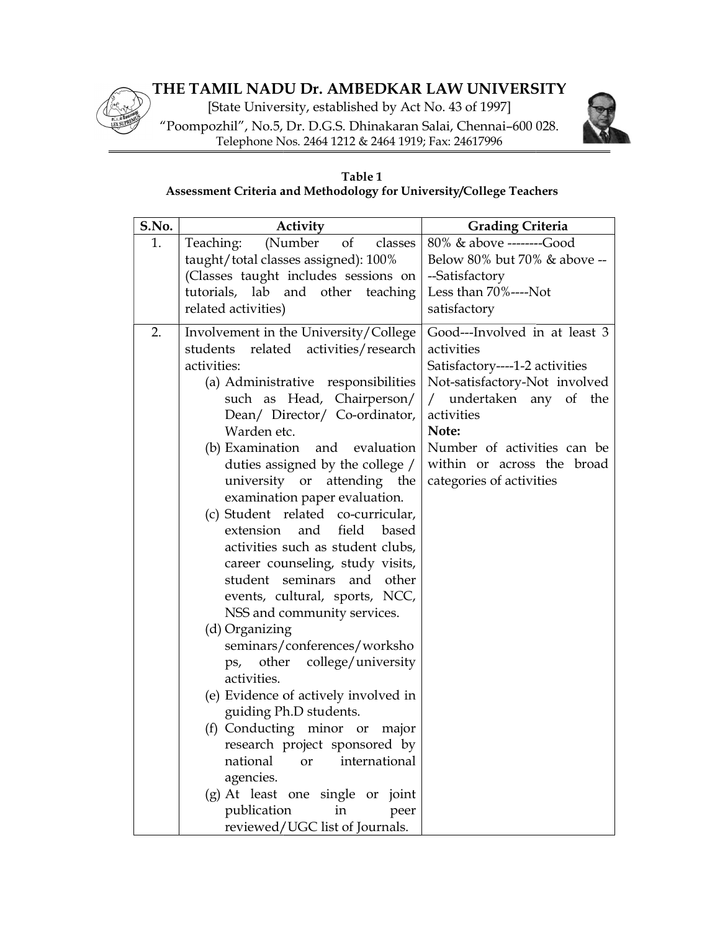# THE TAMIL NADU Dr. AMBEDKAR LAW UNIVERSITY HE

[State University, established by Act No. 43 of 1997] [State University, established by Act No. 43 of 1997]<br>"Poompozhil", No.5, Dr. D.G.S. Dhinakaran Salai, Chennai–600 028. Telephone Nos. 2464 1212 & 2464 1919; Fax: 24617996



# Assessment Criteria and Methodology for University/College Teachers Table 1

| Telephone Nos. 2464 1212 & 2464 1919; Fax: 24617996                                                                                                                                                                                                                                                                                                                                                                                                                                                                                                                                                                                                                                                                                                                                                                                                                                                                                     |                                                                                                                                                                                                                                                                                                                  |
|-----------------------------------------------------------------------------------------------------------------------------------------------------------------------------------------------------------------------------------------------------------------------------------------------------------------------------------------------------------------------------------------------------------------------------------------------------------------------------------------------------------------------------------------------------------------------------------------------------------------------------------------------------------------------------------------------------------------------------------------------------------------------------------------------------------------------------------------------------------------------------------------------------------------------------------------|------------------------------------------------------------------------------------------------------------------------------------------------------------------------------------------------------------------------------------------------------------------------------------------------------------------|
| Table 1<br>Assessment Criteria and Methodology for University/College Teachers                                                                                                                                                                                                                                                                                                                                                                                                                                                                                                                                                                                                                                                                                                                                                                                                                                                          |                                                                                                                                                                                                                                                                                                                  |
| S.No.<br>Activity                                                                                                                                                                                                                                                                                                                                                                                                                                                                                                                                                                                                                                                                                                                                                                                                                                                                                                                       | <b>Grading Criteria</b>                                                                                                                                                                                                                                                                                          |
| 1.<br>(Number<br>Teaching:<br>of<br>taught/total classes assigned): 100%<br>(Classes taught includes sessions on<br>tutorials, lab and other teaching<br>related activities)                                                                                                                                                                                                                                                                                                                                                                                                                                                                                                                                                                                                                                                                                                                                                            | 80% & above --------Good<br>classes<br>Below 80% but 70% & above --<br>--Satisfactory<br>Less than 70%----Not<br>satisfactory                                                                                                                                                                                    |
| Involvement in the University/College<br>2.<br>activities/research<br>related<br>students<br>activities:<br>(a) Administrative responsibilities<br>such as Head, Chairperson/<br>Dean/ Director/ Co-ordinator,<br>Warden etc.<br>(b) Examination<br>and<br>duties assigned by the college /<br>university or attending the<br>examination paper evaluation.<br>(c) Student related co-curricular,<br>field<br>extension<br>and<br>activities such as student clubs,<br>career counseling, study visits,<br>student seminars and other<br>events, cultural, sports, NCC,<br>NSS and community services.<br>(d) Organizing<br>seminars/conferences/worksho<br>college/university<br>ps, other<br>activities.<br>(e) Evidence of actively involved in<br>guiding Ph.D students.<br>(f) Conducting minor or<br>research project sponsored by<br>national<br><b>or</b><br>agencies.<br>(g) At least one single or joint<br>publication<br>in | Good---Involved in at least 3<br>activities<br>Satisfactory----1-2 activities<br>Not-satisfactory-Not involved<br>undertaken any of the<br>activities<br>Note:<br>Number of activities can be<br>evaluation<br>within or across the broad<br>categories of activities<br>based<br>major<br>international<br>peer |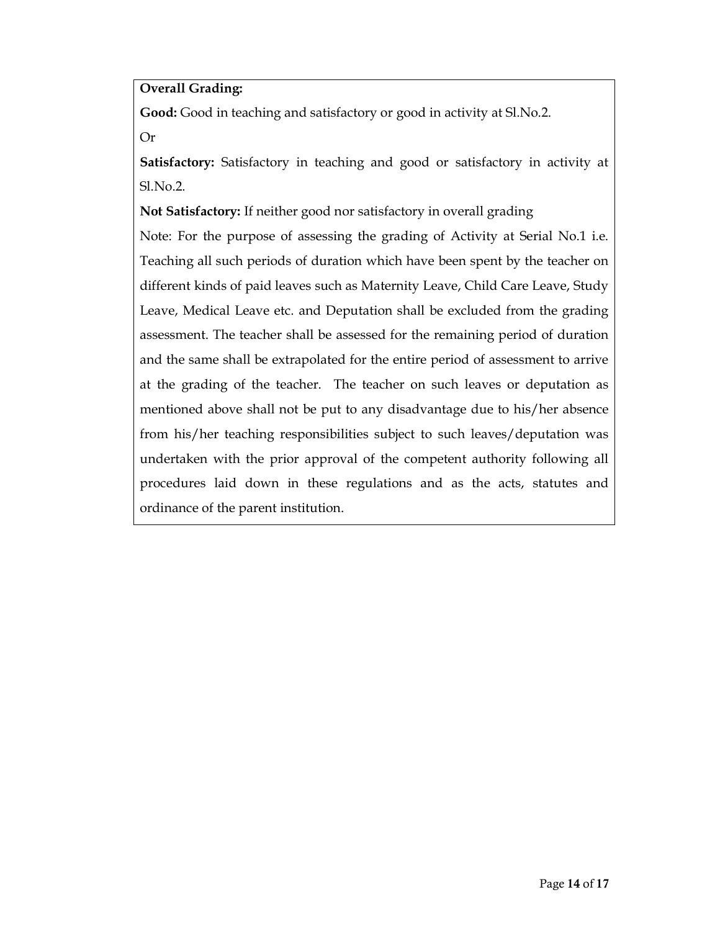# Overall Grading:

Good: Good in teaching and satisfactory or good in activity at Sl.No.2.

Or

Satisfactory: Satisfactory in teaching and good or satisfactory in activity at Sl.No.2.

Not Satisfactory: If neither good nor satisfactory in overall grading

Note: For the purpose of assessing the grading of Activity at Serial No.1 i.e. Teaching all such periods of duration which have been spent by the teacher on different kinds of paid leaves such as Maternity Leave, Child Care Leave, Study Leave, Medical Leave etc. and Deputation shall be excluded from the grading assessment. The teacher shall be assessed for the remaining period of duration and the same shall be extrapolated for the entire period of assessment to arrive at the grading of the teacher. The teacher on such leaves or deputation as mentioned above shall not be put to any disadvantage due to his/her absence from his/her teaching responsibilities subject to such leaves/deputation was undertaken with the prior approval of the competent authority following all procedures laid down in these regulations and as the acts, statutes and ordinance of the parent institution.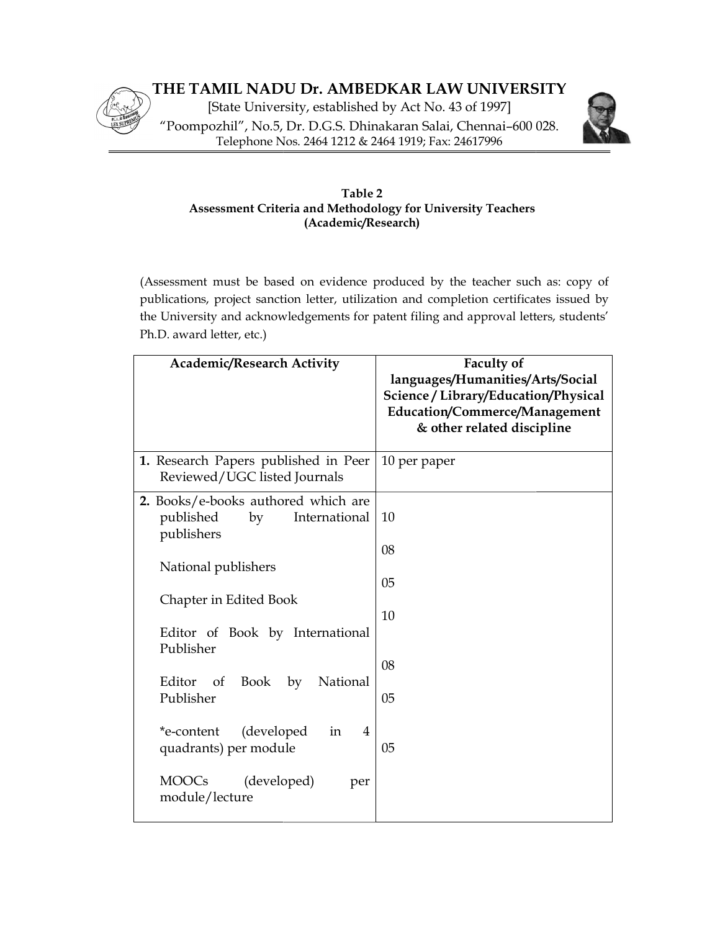



# Assessment Criteria and Methodology for University Teachers Table 2 (Academic/Research) Frompozhil", No.5, Dr. D.G.S. Dhinakaran Salai, Chennai-600 028.<br>
Telephone Nos. 2464 1212 & 2464 1919; Fax: 24617996<br>
Table 2<br>
Assessment Criteria and Methodology for University Teachers<br>
(Academic/Research)<br>
(Assessment

(Assessment must be based on evidence produced by the teacher such as: copy of publications, project sanction letter, utilization and completion certificates issued by the University and acknowledgements for patent filing and approval letters, students' University students' Ph.D. award letter, etc.)

| <b>Academic/Research Activity</b>                                                     | <b>Faculty of</b><br>languages/Humanities/Arts/Social<br>Science / Library/Education/Physical<br>Education/Commerce/Management<br>& other related discipline |  |
|---------------------------------------------------------------------------------------|--------------------------------------------------------------------------------------------------------------------------------------------------------------|--|
| 1. Research Papers published in Peer<br>Reviewed/UGC listed Journals                  | 10 per paper                                                                                                                                                 |  |
| 2. Books/e-books authored which are<br>published<br>by<br>International<br>publishers | 10<br>08                                                                                                                                                     |  |
| National publishers                                                                   | 05                                                                                                                                                           |  |
| Chapter in Edited Book                                                                | 10                                                                                                                                                           |  |
| Editor of Book by International<br>Publisher                                          |                                                                                                                                                              |  |
| Editor<br>Book<br>by<br>National<br>of<br>Publisher                                   | 08<br>05                                                                                                                                                     |  |
| (developed<br>*e-content<br>$\overline{4}$<br>in                                      |                                                                                                                                                              |  |
| quadrants) per module                                                                 | 05                                                                                                                                                           |  |
| <b>MOOCs</b><br>(developed)<br>per<br>module/lecture                                  |                                                                                                                                                              |  |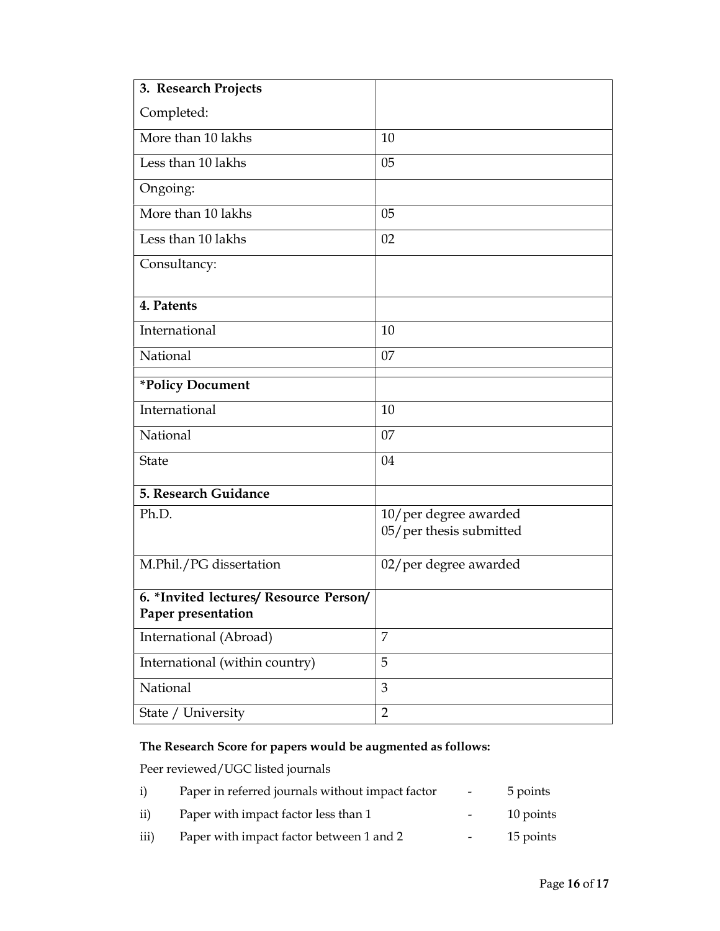| 3. Research Projects                                         |                                                  |
|--------------------------------------------------------------|--------------------------------------------------|
| Completed:                                                   |                                                  |
| More than 10 lakhs                                           | 10                                               |
| Less than 10 lakhs                                           | 05                                               |
| Ongoing:                                                     |                                                  |
| More than 10 lakhs                                           | 05                                               |
| Less than 10 lakhs                                           | 02                                               |
| Consultancy:                                                 |                                                  |
| 4. Patents                                                   |                                                  |
| International                                                | 10                                               |
| National                                                     | 07                                               |
| *Policy Document                                             |                                                  |
| International                                                | 10                                               |
| National                                                     | 07                                               |
| <b>State</b>                                                 | 04                                               |
| 5. Research Guidance                                         |                                                  |
| Ph.D.                                                        | 10/per degree awarded<br>05/per thesis submitted |
| M.Phil./PG dissertation                                      | 02/per degree awarded                            |
| 6. *Invited lectures/ Resource Person/<br>Paper presentation |                                                  |
| International (Abroad)                                       | 7                                                |
| International (within country)                               | 5                                                |
| National                                                     | 3                                                |
| State / University                                           | $\overline{2}$                                   |

# The Research Score for papers would be augmented as follows:

Peer reviewed/UGC listed journals

| i)   | Paper in referred journals without impact factor | $\sim$ | 5 points  |
|------|--------------------------------------------------|--------|-----------|
| ii)  | Paper with impact factor less than 1             |        | 10 points |
| iii) | Paper with impact factor between 1 and 2         | $-$    | 15 points |